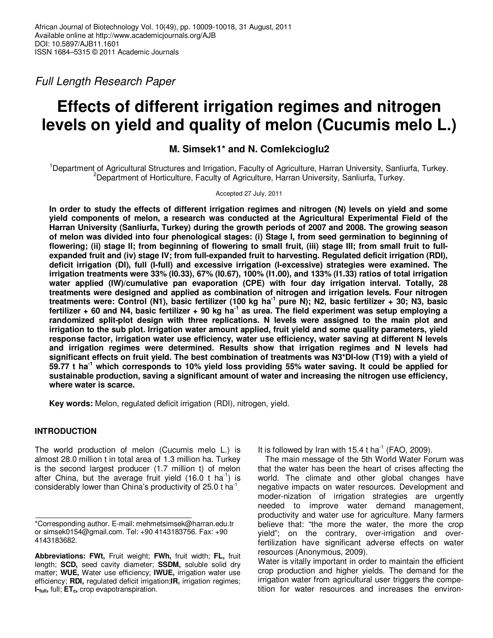Full Length Research Paper

# **Effects of different irrigation regimes and nitrogen levels on yield and quality of melon (Cucumis melo L.)**

## **M. Simsek1\* and N. Comlekcioglu2**

<sup>1</sup>Department of Agricultural Structures and Irrigation, Faculty of Agriculture, Harran University, Sanliurfa, Turkey. <sup>2</sup>Department of Horticulture, Faculty of Agriculture, Harran University, Sanliurfa, Turkey.

Accepted 27 July, 2011

**In order to study the effects of different irrigation regimes and nitrogen (N) levels on yield and some yield components of melon, a research was conducted at the Agricultural Experimental Field of the Harran University (Sanliurfa, Turkey) during the growth periods of 2007 and 2008. The growing season of melon was divided into four phenological stages: (i) Stage I, from seed germination to beginning of flowering; (ii) stage II; from beginning of flowering to small fruit, (iii) stage III; from small fruit to fullexpanded fruit and (iv) stage IV; from full-expanded fruit to harvesting. Regulated deficit irrigation (RDI), deficit irrigation (DI), full (I-full) and excessive irrigation (I-excessive) strategies were examined. The irrigation treatments were 33% (I0.33), 67% (I0.67), 100% (I1.00), and 133% (I1.33) ratios of total irrigation water applied (IW)/cumulative pan evaporation (CPE) with four day irrigation interval. Totally, 28 treatments were designed and applied as combination of nitrogen and irrigation levels. Four nitrogen treatments were: Control (N1), basic fertilizer (100 kg ha-1 pure N); N2, basic fertilizer + 30; N3, basic fertilizer + 60 and N4, basic fertilizer + 90 kg ha-1 as urea. The field experiment was setup employing a randomized split-plot design with three replications. N levels were assigned to the main plot and irrigation to the sub plot. Irrigation water amount applied, fruit yield and some quality parameters, yield response factor, irrigation water use efficiency, water use efficiency, water saving at different N levels and irrigation regimes were determined. Results show that irrigation regimes and N levels had significant effects on fruit yield. The best combination of treatments was N3\*DI-low (T19) with a yield of 59.77 t ha-1 which corresponds to 10% yield loss providing 55% water saving. It could be applied for sustainable production, saving a significant amount of water and increasing the nitrogen use efficiency, where water is scarce.** 

**Key words:** Melon, regulated deficit irrigation (RDI), nitrogen, yield.

## **INTRODUCTION**

The world production of melon (Cucumis melo L.) is almost 28.0 million t in total area of 1.3 million ha. Turkey is the second largest producer (1.7 million t) of melon after China, but the average fruit yield  $(16.0 \text{ t} \text{ ha}^1)$  is considerably lower than China's productivity of 25.0 t ha<sup>1</sup>

It is followed by Iran with 15.4 t ha<sup>-1</sup> (FAO, 2009).

The main message of the 5th World Water Forum was that the water has been the heart of crises affecting the world. The climate and other global changes have negative impacts on water resources. Development and moder-nization of irrigation strategies are urgently needed to improve water demand management, productivity and water use for agriculture. Many farmers believe that: "the more the water, the more the crop yield"; on the contrary, over-irrigation and overfertilization have significant adverse effects on water resources (Anonymous, 2009).

Water is vitally important in order to maintain the efficient crop production and higher yields. The demand for the irrigation water from agricultural user triggers the competition for water resources and increases the environ-

<sup>\*</sup>Corresponding author. E-mail: mehmetsimsek@harran.edu.tr or simsek0154@gmail.com. Tel: +90 4143183756. Fax: +90 4143183682.

**Abbreviations: FWt,** Fruit weight; **FWh,** fruit width; **FL,** fruit length; **SCD,** seed cavity diameter; **SSDM,** soluble solid dry matter; **WUE,** Water use efficiency; **IWUE,** irrigation water use efficiency; **RDI,** regulated deficit irrigation;**IR,** irrigation regimes; **I-full,** full; **ETc,** crop evapotranspiration.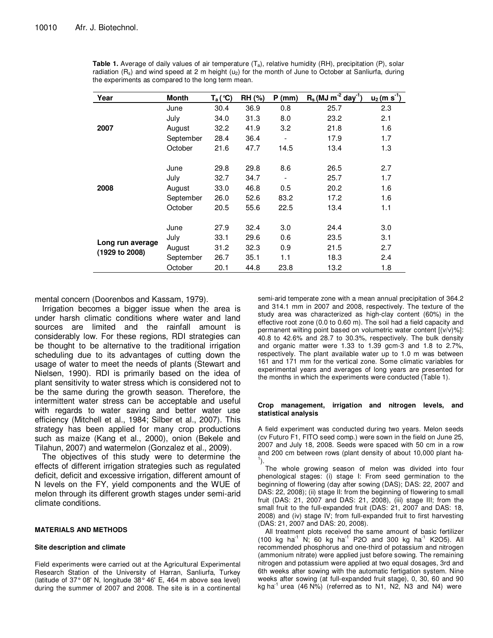| Year             | <b>Month</b> | $T_a$ (°C) | <b>RH (%)</b> | $P$ (mm) | $R_s$ (MJ m <sup>-2</sup> day <sup>-1</sup> ) | $u_2$ (m s <sup>-1</sup> ) |
|------------------|--------------|------------|---------------|----------|-----------------------------------------------|----------------------------|
|                  | June         | 30.4       | 36.9          | 0.8      | 25.7                                          | 2.3                        |
|                  | July         | 34.0       | 31.3          | 8.0      | 23.2                                          | 2.1                        |
| 2007             | August       | 32.2       | 41.9          | 3.2      | 21.8                                          | 1.6                        |
|                  | September    | 28.4       | 36.4          |          | 17.9                                          | 1.7                        |
|                  | October      | 21.6       | 47.7          | 14.5     | 13.4                                          | 1.3                        |
|                  |              |            |               |          |                                               |                            |
|                  | June         | 29.8       | 29.8          | 8.6      | 26.5                                          | 2.7                        |
|                  | July         | 32.7       | 34.7          |          | 25.7                                          | 1.7                        |
| 2008             | August       | 33.0       | 46.8          | 0.5      | 20.2                                          | 1.6                        |
|                  | September    | 26.0       | 52.6          | 83.2     | 17.2                                          | 1.6                        |
|                  | October      | 20.5       | 55.6          | 22.5     | 13.4                                          | 1.1                        |
|                  |              |            |               |          |                                               |                            |
|                  | June         | 27.9       | 32.4          | 3.0      | 24.4                                          | 3.0                        |
|                  | July         | 33.1       | 29.6          | 0.6      | 23.5                                          | 3.1                        |
| Long run average | August       | 31.2       | 32.3          | 0.9      | 21.5                                          | 2.7                        |
| (1929 to 2008)   | September    | 26.7       | 35.1          | 1.1      | 18.3                                          | 2.4                        |
|                  | October      | 20.1       | 44.8          | 23.8     | 13.2                                          | 1.8                        |

**Table 1.** Average of daily values of air temperature (T<sub>a</sub>), relative humidity (RH), precipitation (P), solar radiation  $(R_s)$  and wind speed at 2 m height  $(u_2)$  for the month of June to October at Sanliurfa, during the experiments as compared to the long term mean.

mental concern (Doorenbos and Kassam, 1979).

Irrigation becomes a bigger issue when the area is under harsh climatic conditions where water and land sources are limited and the rainfall amount is considerably low. For these regions, RDI strategies can be thought to be alternative to the traditional irrigation scheduling due to its advantages of cutting down the usage of water to meet the needs of plants (Stewart and Nielsen, 1990). RDI is primarily based on the idea of plant sensitivity to water stress which is considered not to be the same during the growth season. Therefore, the intermittent water stress can be acceptable and useful with regards to water saving and better water use efficiency (Mitchell et al., 1984; Silber et al., 2007). This strategy has been applied for many crop productions such as maize (Kang et al., 2000), onion (Bekele and Tilahun, 2007) and watermelon (Gonzalez et al., 2009).

The objectives of this study were to determine the effects of different irrigation strategies such as regulated deficit, deficit and excessive irrigation, different amount of N levels on the FY, yield components and the WUE of melon through its different growth stages under semi-arid climate conditions.

#### **MATERIALS AND METHODS**

#### **Site description and climate**

Field experiments were carried out at the Agricultural Experimental Research Station of the University of Harran, Sanliurfa, Turkey (latitude of 37° 08' N, longitude 38° 46' E, 464 m above sea level) during the summer of 2007 and 2008. The site is in a continental

semi-arid temperate zone with a mean annual precipitation of 364.2 and 314.1 mm in 2007 and 2008, respectively. The texture of the study area was characterized as high-clay content (60%) in the effective root zone (0.0 to 0.60 m). The soil had a field capacity and permanent wilting point based on volumetric water content [(v/v)%]: 40.8 to 42.6% and 28.7 to 30.3%, respectively. The bulk density and organic matter were 1.33 to 1.39 gcm-3 and 1.8 to 2.7%, respectively. The plant available water up to 1.0 m was between 161 and 171 mm for the vertical zone. Some climatic variables for experimental years and averages of long years are presented for the months in which the experiments were conducted (Table 1).

#### **Crop management, irrigation and nitrogen levels, and statistical analysis**

A field experiment was conducted during two years. Melon seeds (cv Futuro F1, FITO seed comp.) were sown in the field on June 25, 2007 and July 18, 2008. Seeds were spaced with 50 cm in a row and 200 cm between rows (plant density of about 10,000 plant ha-1 ).

The whole growing season of melon was divided into four phenological stages: (i) stage I: From seed germination to the beginning of flowering (day after sowing (DAS); DAS: 22, 2007 and DAS: 22, 2008); (ii) stage II: from the beginning of flowering to small fruit (DAS: 21, 2007 and DAS: 21, 2008), (iii) stage III; from the small fruit to the full-expanded fruit (DAS: 21, 2007 and DAS: 18, 2008) and (iv) stage IV; from full-expanded fruit to first harvesting (DAS: 21, 2007 and DAS: 20, 2008).

All treatment plots received the same amount of basic fertilizer  $(100 \text{ kg } \text{ha}^1 \text{ N}; 60 \text{ kg } \text{ha}^1 \text{ P2O} \text{ and } 300 \text{ kg } \text{ha}^1 \text{ K2O5}).$  All recommended phosphorus and one-third of potassium and nitrogen (ammonium nitrate) were applied just before sowing. The remaining nitrogen and potassium were applied at two equal dosages, 3rd and 6th weeks after sowing with the automatic fertigation system. Nine weeks after sowing (at full-expanded fruit stage), 0, 30, 60 and 90 kg ha<sup>-1</sup> urea (46 N%) (referred as to N1, N2, N3 and N4) were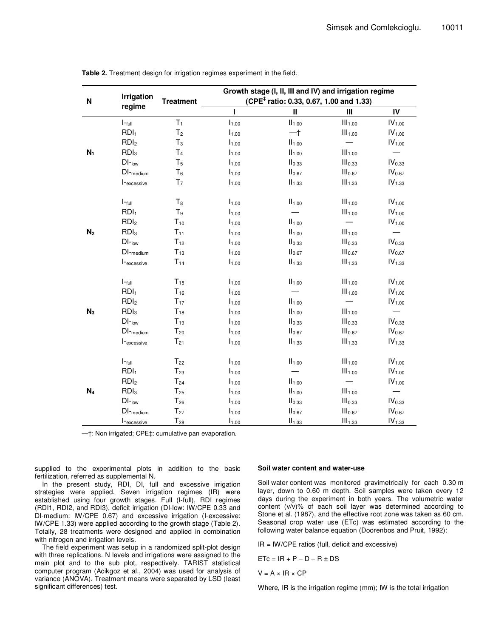| N              | Irrigation              | <b>Treatment</b> |                   | Growth stage (I, II, III and IV) and irrigation regime<br>(CPE <sup>‡</sup> ratio: 0.33, 0.67, 1.00 and 1.33) |                          |                          |
|----------------|-------------------------|------------------|-------------------|---------------------------------------------------------------------------------------------------------------|--------------------------|--------------------------|
|                | regime                  |                  | Ī.                | $\mathbf{I}$                                                                                                  | $\mathbf{III}$           | IV                       |
|                | $I$ - $_{full}$         | $T_1$            | $I_{1.00}$        | $II_{1.00}$                                                                                                   | III <sub>1.00</sub>      | IV <sub>1.00</sub>       |
|                | RDI <sub>1</sub>        | T <sub>2</sub>   | I <sub>1.00</sub> | $-†$                                                                                                          | III <sub>1.00</sub>      | IV <sub>1.00</sub>       |
|                | RDI <sub>2</sub>        | $T_3$            | $I_{1.00}$        | $II_{1.00}$                                                                                                   |                          | IV <sub>1.00</sub>       |
| $N_1$          | RDI <sub>3</sub>        | T <sub>4</sub>   | $I_{1.00}$        | II <sub>1.00</sub>                                                                                            | III <sub>1.00</sub>      |                          |
|                | $DI$ -low               | T <sub>5</sub>   | I <sub>1.00</sub> | II <sub>0.33</sub>                                                                                            | III <sub>0.33</sub>      | IV <sub>0.33</sub>       |
|                | DI-medium               | $T_6$            | I <sub>1.00</sub> | II <sub>0.67</sub>                                                                                            | III <sub>0.67</sub>      | IV <sub>0.67</sub>       |
|                | I-excessive             | T <sub>7</sub>   | $I_{1.00}$        | $II_{1.33}$                                                                                                   | III <sub>1.33</sub>      | IV <sub>1.33</sub>       |
|                | $I$ - $_{full}$         | $T_8$            | $I_{1.00}$        | II <sub>1.00</sub>                                                                                            | III <sub>1.00</sub>      | $\mathsf{IV}_{1.00}$     |
|                | RDI <sub>1</sub>        | $T_9$            | $I_{1.00}$        |                                                                                                               | III <sub>1.00</sub>      | $\mathsf{IV}_{1.00}$     |
|                | RDI <sub>2</sub>        | $T_{10}$         | $I_{1.00}$        | $II_{1.00}$                                                                                                   | $\overline{\phantom{0}}$ | IV <sub>1.00</sub>       |
| N <sub>2</sub> | RDI <sub>3</sub>        | $T_{11}$         | $I_{1.00}$        | $II_{1.00}$                                                                                                   | III <sub>1.00</sub>      |                          |
|                | $DI$ - $_{low}$         | $T_{12}$         | $I_{1.00}$        | II <sub>0.33</sub>                                                                                            | III <sub>0.33</sub>      | IV <sub>0.33</sub>       |
|                | $DI$ <sub>-medium</sub> | $T_{13}$         | $I_{1.00}$        | II <sub>0.67</sub>                                                                                            | III <sub>0.67</sub>      | IV <sub>0.67</sub>       |
|                | I-excessive             | $T_{14}$         | $I_{1.00}$        | $II_{1.33}$                                                                                                   | III <sub>1.33</sub>      | $IV_{1.33}$              |
|                | $I$ -full               | $T_{15}$         | I <sub>1.00</sub> | II <sub>1.00</sub>                                                                                            | III <sub>1.00</sub>      | $\mathsf{IV}_{1.00}$     |
|                | RDI <sub>1</sub>        | $T_{16}$         | $I_{1.00}$        |                                                                                                               | III <sub>1.00</sub>      | IV <sub>1.00</sub>       |
|                | RDI <sub>2</sub>        | $T_{17}$         | I <sub>1.00</sub> | II <sub>1.00</sub>                                                                                            |                          | IV <sub>1.00</sub>       |
| $N_3$          | RDI <sub>3</sub>        | $T_{18}$         | $I_{1.00}$        | $II_{1.00}$                                                                                                   | III <sub>1.00</sub>      | $\overline{\phantom{0}}$ |
|                | $DI$ -low               | $T_{19}$         | I <sub>1.00</sub> | II <sub>0.33</sub>                                                                                            | III <sub>0.33</sub>      | IV <sub>0.33</sub>       |
|                | $DI$ <sub>-medium</sub> | $T_{20}$         | $I_{1.00}$        | II <sub>0.67</sub>                                                                                            | III <sub>0.67</sub>      | $IV_{0.67}$              |
|                | I-excessive             | $T_{21}$         | I <sub>1.00</sub> | II <sub>1.33</sub>                                                                                            | III <sub>1.33</sub>      | IV <sub>1.33</sub>       |
|                | $I$ - $_{full}$         | $T_{22}$         | $I_{1.00}$        | II <sub>1.00</sub>                                                                                            | III <sub>1.00</sub>      | IV <sub>1.00</sub>       |
|                | RDI <sub>1</sub>        | $T_{23}$         | $I_{1.00}$        |                                                                                                               | III <sub>1.00</sub>      | IV <sub>1.00</sub>       |
|                | RDI <sub>2</sub>        | $T_{24}$         | $I_{1.00}$        | $II_{1.00}$                                                                                                   |                          | IV <sub>1.00</sub>       |
| $N_4$          | RDI <sub>3</sub>        | $T_{25}$         | $I_{1.00}$        | $II_{1.00}$                                                                                                   | III <sub>1.00</sub>      |                          |
|                | $DI$ -low               | $T_{26}$         | $I_{1.00}$        | II <sub>0.33</sub>                                                                                            | III <sub>0.33</sub>      | IV <sub>0.33</sub>       |
|                | $DI$ -medium            | $T_{27}$         | $I_{1.00}$        | II <sub>0.67</sub>                                                                                            | III <sub>0.67</sub>      | $IV_{0.67}$              |
|                | I-excessive             | $T_{28}$         | I <sub>1.00</sub> | II <sub>1.33</sub>                                                                                            | III <sub>1.33</sub>      | IV <sub>1.33</sub>       |

**Table 2.** Treatment design for irrigation regimes experiment in the field.

—†: Non irrigated; CPE‡: cumulative pan evaporation.

supplied to the experimental plots in addition to the basic fertilization, referred as supplemental N.

In the present study, RDI, DI, full and excessive irrigation strategies were applied. Seven irrigation regimes (IR) were established using four growth stages. Full (I-full), RDI regimes (RDI1, RDI2, and RDI3), deficit irrigation (DI-low: IW/CPE 0.33 and DI-medium: IW/CPE 0.67) and excessive irrigation (I-excessive: IW/CPE 1.33) were applied according to the growth stage (Table 2). Totally, 28 treatments were designed and applied in combination with nitrogen and irrigation levels.

The field experiment was setup in a randomized split-plot design with three replications. N levels and irrigations were assigned to the main plot and to the sub plot, respectively. TARIST statistical computer program (Acikgoz et al., 2004) was used for analysis of variance (ANOVA). Treatment means were separated by LSD (least significant differences) test.

#### **Soil water content and water-use**

Soil water content was monitored gravimetrically for each 0.30 m layer, down to 0.60 m depth. Soil samples were taken every 12 days during the experiment in both years. The volumetric water content (v/v)% of each soil layer was determined according to Stone et al. (1987), and the effective root zone was taken as 60 cm. Seasonal crop water use (ETc) was estimated according to the following water balance equation (Doorenbos and Pruit, 1992):

 $IR = lW/CPE$  ratios (full, deficit and excessive)

 $ETc = IR + P - D - R \pm DS$ 

 $V = A \times IR \times CP$ 

Where, IR is the irrigation regime (mm); IW is the total irrigation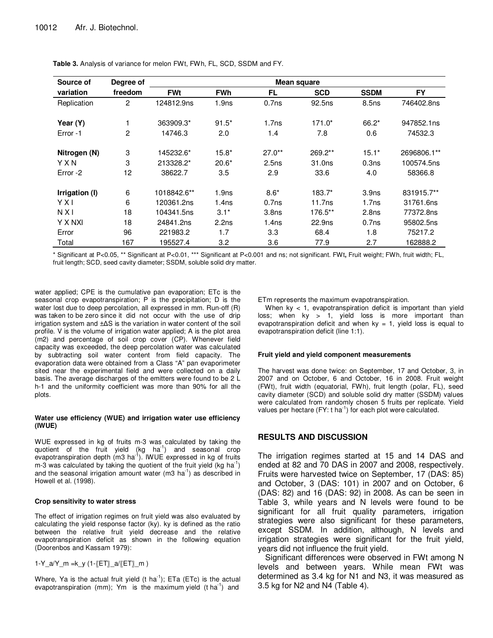| Source of      | Degree of      |             | Mean square       |                   |                    |                   |             |  |
|----------------|----------------|-------------|-------------------|-------------------|--------------------|-------------------|-------------|--|
| variation      | freedom        | <b>FWt</b>  | <b>FWh</b>        | FL.               | <b>SCD</b>         | <b>SSDM</b>       | <b>FY</b>   |  |
| Replication    | $\overline{2}$ | 124812.9ns  | 1.9 <sub>ns</sub> | 0.7 <sub>ns</sub> | 92.5 <sub>ns</sub> | 8.5 <sub>ns</sub> | 746402.8ns  |  |
| Year (Y)       |                | 363909.3*   | $91.5*$           | 1.7ns             | 171.0*             | $66.2*$           | 947852.1ns  |  |
| Error-1        | 2              | 14746.3     | 2.0               | 1.4               | 7.8                | 0.6               | 74532.3     |  |
| Nitrogen (N)   | 3              | 145232.6*   | $15.8*$           | $27.0**$          | 269.2**            | $15.1*$           | 2696806.1** |  |
| YXN            | 3              | 213328.2*   | $20.6*$           | 2.5ns             | 31.0ns             | 0.3ns             | 100574.5ns  |  |
| Error -2       | 12             | 38622.7     | 3.5               | 2.9               | 33.6               | 4.0               | 58366.8     |  |
| Irrigation (I) | 6              | 1018842.6** | 1.9 <sub>ns</sub> | $8.6*$            | 183.7*             | 3.9 <sub>ns</sub> | 831915.7**  |  |
| YXI            | 6              | 120361.2ns  | 1.4 <sub>ns</sub> | 0.7ns             | 11.7ns             | 1.7ns             | 31761.6ns   |  |
| N X I          | 18             | 104341.5ns  | $3.1*$            | 3.8 <sub>ns</sub> | 176.5**            | 2.8 <sub>ns</sub> | 77372.8ns   |  |
| Y X NXI        | 18             | 24841.2ns   | 2.2ns             | 1.4 <sub>ns</sub> | 22.9ns             | 0.7ns             | 95802.5ns   |  |
| Error          | 96             | 221983.2    | 1.7               | 3.3               | 68.4               | 1.8               | 75217.2     |  |
| Total          | 167            | 195527.4    | 3.2               | 3.6               | 77.9               | 2.7               | 162888.2    |  |

**Table 3.** Analysis of variance for melon FWt, FWh, FL, SCD, SSDM and FY.

\* Significant at P<0.05, \*\* Significant at P<0.01, \*\*\* Significant at P<0.001 and ns; not significant. FWt**,** Fruit weight; FWh, fruit width; FL, fruit length; SCD, seed cavity diameter; SSDM, soluble solid dry matter.

water applied; CPE is the cumulative pan evaporation; ETc is the seasonal crop evapotranspiration; P is the precipitation; D is the water lost due to deep percolation, all expressed in mm. Run-off (R) was taken to be zero since it did not occur with the use of drip irrigation system and ±∆S is the variation in water content of the soil profile. V is the volume of irrigation water applied; A is the plot area (m2) and percentage of soil crop cover (CP). Whenever field capacity was exceeded, the deep percolation water was calculated by subtracting soil water content from field capacity. The evaporation data were obtained from a Class "A" pan evaporimeter sited near the experimental field and were collected on a daily basis. The average discharges of the emitters were found to be 2 L h-1 and the uniformity coefficient was more than 90% for all the plots.

#### **Water use efficiency (WUE) and irrigation water use efficiency (IWUE)**

WUE expressed in kg of fruits m-3 was calculated by taking the quotient of the fruit yield  $(kg \text{ ha}^{-1})$  and seasonal crop evapotranspiration depth  $(m3 \text{ ha}^{-1})$ . IWUE expressed in kg of fruits  $m-3$  was calculated by taking the quotient of the fruit yield (kg ha<sup>-1</sup>) and the seasonal irrigation amount water (m3 ha<sup>-1</sup>) as described in Howell et al. (1998).

#### **Crop sensitivity to water stress**

The effect of irrigation regimes on fruit yield was also evaluated by calculating the yield response factor (ky). ky is defined as the ratio between the relative fruit yield decrease and the relative evapotranspiration deficit as shown in the following equation (Doorenbos and Kassam 1979):

1-Y\_a/Y\_m =k\_y (1-〖ET〗\_a/〖ET〗\_m )

Where, Ya is the actual fruit yield (t ha<sup>-1</sup>); ETa (ETc) is the actual evapotranspiration (mm); Ym is the maximum yield (t ha<sup>-1</sup>) and

ETm represents the maximum evapotranspiration.

When  $ky < 1$ , evapotranspiration deficit is important than yield loss; when ky > 1, yield loss is more important than evapotranspiration deficit and when  $ky = 1$ , yield loss is equal to evapotranspiration deficit (line 1:1).

#### **Fruit yield and yield component measurements**

The harvest was done twice: on September, 17 and October, 3, in 2007 and on October, 6 and October, 16 in 2008. Fruit weight (FWt), fruit width (equatorial, FWh), fruit length (polar, FL), seed cavity diameter (SCD) and soluble solid dry matter (SSDM) values were calculated from randomly chosen 5 fruits per replicate. Yield values per hectare  $(FY: t \text{ ha}^{-1})$  for each plot were calculated.

## **RESULTS AND DISCUSSION**

The irrigation regimes started at 15 and 14 DAS and ended at 82 and 70 DAS in 2007 and 2008, respectively. Fruits were harvested twice on September, 17 (DAS: 85) and October, 3 (DAS: 101) in 2007 and on October, 6 (DAS: 82) and 16 (DAS: 92) in 2008. As can be seen in Table 3, while years and N levels were found to be significant for all fruit quality parameters, irrigation strategies were also significant for these parameters, except SSDM. In addition, although, N levels and irrigation strategies were significant for the fruit yield, years did not influence the fruit yield.

Significant differences were observed in FWt among N levels and between years. While mean FWt was determined as 3.4 kg for N1 and N3, it was measured as 3.5 kg for N2 and N4 (Table 4).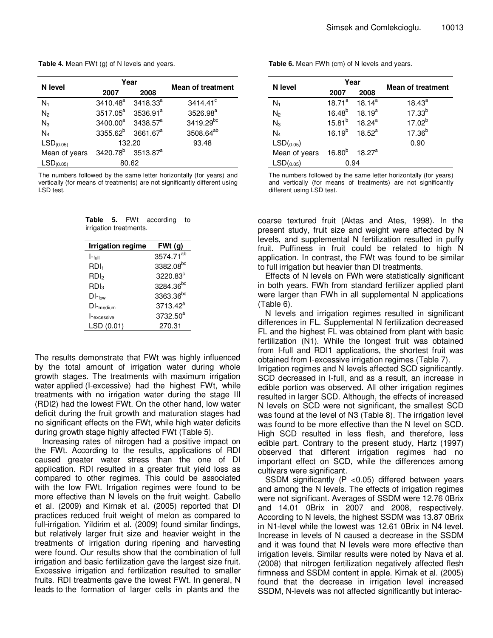**Table 4.** Mean FWt (g) of N levels and years.

|                       |                                           | Year                 |                          |
|-----------------------|-------------------------------------------|----------------------|--------------------------|
| N level               | 2007                                      | 2008                 | <b>Mean of treatment</b> |
| $N_1$                 | 3410.48 <sup>a</sup>                      | $3418.33^{a}$        | $3414.41^{\circ}$        |
| N <sub>2</sub>        | 3517.05 <sup>a</sup>                      | 3536.91 <sup>a</sup> | 3526.98 <sup>a</sup>     |
| $N_3$                 | $3400.00^a$                               | 3438.57 <sup>a</sup> | 3419.29bc                |
| $N_4$                 | $3355.62^b$ 3661.67 <sup>a</sup>          |                      | 3508.64 <sup>ab</sup>    |
| LSD <sub>(0.05)</sub> |                                           | 132.20               | 93.48                    |
| Mean of years         | 3420.78 <sup>b</sup> 3513.87 <sup>a</sup> |                      |                          |
| LSD <sub>(0.05)</sub> | 80.62                                     |                      |                          |

The numbers followed by the same letter horizontally (for years) and vertically (for means of treatments) are not significantly different using LSD test.

| Table 5. FWt           |  | according to |  |
|------------------------|--|--------------|--|
| irrigation treatments. |  |              |  |

| <b>Irrigation regime</b> | FWt(g)                |
|--------------------------|-----------------------|
| $ -$ full                | 3574.71 <sup>ab</sup> |
| RDI <sub>1</sub>         | 3382.08 <sup>bc</sup> |
| RDI <sub>2</sub>         | 3220.83°              |
| RDl <sub>3</sub>         | 3284.36 <sup>bc</sup> |
| $DI$ -low                | 3363.36 <sup>bc</sup> |
| $DI$ <sub>-medium</sub>  | $3713.42^a$           |
| $l$ - $excessive$        | 3732.50 <sup>a</sup>  |
| LSD (0.01)               | 270.31                |

The results demonstrate that FWt was highly influenced by the total amount of irrigation water during whole growth stages. The treatments with maximum irrigation water applied (I-excessive) had the highest FWt, while treatments with no irrigation water during the stage III (RDI2) had the lowest FWt. On the other hand, low water deficit during the fruit growth and maturation stages had no significant effects on the FWt, while high water deficits during growth stage highly affected FWt (Table 5).

Increasing rates of nitrogen had a positive impact on the FWt. According to the results, applications of RDI caused greater water stress than the one of DI application. RDI resulted in a greater fruit yield loss as compared to other regimes. This could be associated with the low FWt. Irrigation regimes were found to be more effective than N levels on the fruit weight. Cabello et al. (2009) and Kirnak et al. (2005) reported that DI practices reduced fruit weight of melon as compared to full-irrigation. Yildirim et al. (2009) found similar findings, but relatively larger fruit size and heavier weight in the treatments of irrigation during ripening and harvesting were found. Our results show that the combination of full irrigation and basic fertilization gave the largest size fruit. Excessive irrigation and fertilization resulted to smaller fruits. RDI treatments gave the lowest FWt. In general, N leads to the formation of larger cells in plants and the

**Table 6.** Mean FWh (cm) of N levels and years.

|                                                     |             | Year                         |                          |
|-----------------------------------------------------|-------------|------------------------------|--------------------------|
| N level                                             | 2007        | 2008                         | <b>Mean of treatment</b> |
| $N_1$                                               | $18.71^a$   | $18.14^a$                    | $18.43^a$                |
| N <sub>2</sub>                                      | $16.48^{b}$ | $18.19^a$                    | $17.33^{b}$              |
| $N_3$                                               | $15.81^{b}$ | 18.24 $^{\rm a}$             | $17.02^{b}$              |
| $N_4$                                               |             | $16.19^b$ 18.52 <sup>a</sup> | $17.36^{b}$              |
| LSD(0.05)                                           |             |                              | 0.90                     |
| Mean of years 16.80 <sup>b</sup> 18.27 <sup>a</sup> |             |                              |                          |
| LSD(0.05)                                           | 0.94        |                              |                          |

The numbers followed by the same letter horizontally (for years) and vertically (for means of treatments) are not significantly different using LSD test.

coarse textured fruit (Aktas and Ates, 1998). In the present study, fruit size and weight were affected by N levels, and supplemental N fertilization resulted in puffy fruit. Puffiness in fruit could be related to high N application. In contrast, the FWt was found to be similar to full irrigation but heavier than DI treatments.

Effects of N levels on FWh were statistically significant in both years. FWh from standard fertilizer applied plant were larger than FWh in all supplemental N applications (Table 6).

N levels and irrigation regimes resulted in significant differences in FL. Supplemental N fertilization decreased FL and the highest FL was obtained from plant with basic fertilization (N1). While the longest fruit was obtained from I-full and RDI1 applications, the shortest fruit was obtained from I-excessive irrigation regimes (Table 7).

Irrigation regimes and N levels affected SCD significantly. SCD decreased in I-full, and as a result, an increase in edible portion was observed. All other irrigation regimes resulted in larger SCD. Although, the effects of increased N levels on SCD were not significant, the smallest SCD was found at the level of N3 (Table 8). The irrigation level was found to be more effective than the N level on SCD. High SCD resulted in less flesh, and therefore, less edible part. Contrary to the present study, Hartz (1997) observed that different irrigation regimes had no important effect on SCD, while the differences among cultivars were significant.

SSDM significantly (P <0.05) differed between years and among the N levels. The effects of irrigation regimes were not significant. Averages of SSDM were 12.76 0Brix and 14.01 0Brix in 2007 and 2008, respectively. According to N levels, the highest SSDM was 13.87 0Brix in N1-level while the lowest was 12.61 0Brix in N4 level. Increase in levels of N caused a decrease in the SSDM and it was found that N levels were more effective than irrigation levels. Similar results were noted by Nava et al. (2008) that nitrogen fertilization negatively affected flesh firmness and SSDM content in apple. Kirnak et al. (2005) found that the decrease in irrigation level increased SSDM, N-levels was not affected significantly but interac-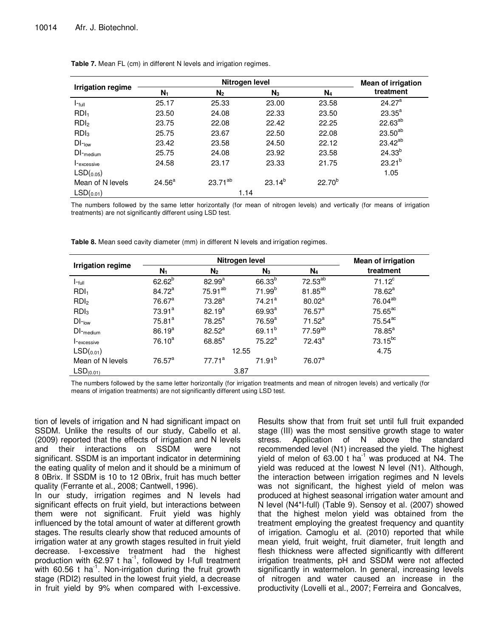|                          |           | <b>Mean of irrigation</b> |             |             |                    |
|--------------------------|-----------|---------------------------|-------------|-------------|--------------------|
| <b>Irrigation regime</b> | $N_1$     | N <sub>2</sub>            | $N_3$       | $N_4$       | treatment          |
| $I$ -full                | 25.17     | 25.33                     | 23.00       | 23.58       | 24.27 <sup>a</sup> |
| RDI <sub>1</sub>         | 23.50     | 24.08                     | 22.33       | 23.50       | $23.35^{a}$        |
| RDI <sub>2</sub>         | 23.75     | 22.08                     | 22.42       | 22.25       | $22.63^{ab}$       |
| RDI <sub>3</sub>         | 25.75     | 23.67                     | 22.50       | 22.08       | $23.50^{ab}$       |
| $DI$ -low                | 23.42     | 23.58                     | 24.50       | 22.12       | $23.42^{ab}$       |
| $DI$ <sub>medium</sub>   | 25.75     | 24.08                     | 23.92       | 23.58       | $24.33^{b}$        |
| I-excessive              | 24.58     | 23.17                     | 23.33       | 21.75       | $23.21^{b}$        |
| LSD(0.05)                |           |                           |             |             | 1.05               |
| Mean of N levels         | $24.56^a$ | $23.71^{ab}$              | $23.14^{b}$ | $22.70^{b}$ |                    |
| LSD(0.01)                |           | 1.14                      |             |             |                    |

Table 7. Mean FL (cm) in different N levels and irrigation regimes.

The numbers followed by the same letter horizontally (for mean of nitrogen levels) and vertically (for means of irrigation treatments) are not significantly different using LSD test.

|                   |                      | <b>Mean of irrigation</b> |                    |                     |                       |
|-------------------|----------------------|---------------------------|--------------------|---------------------|-----------------------|
| Irrigation regime | $N_1$                | N <sub>2</sub>            | $N_3$              | $N_4$               | treatment             |
| $I$ -full         | $62.62^{b}$          | $82.99^{a}$               | $66.33^{b}$        | 72.53 <sup>ab</sup> | $71.12^c$             |
| RDI <sub>1</sub>  | $84.72^a$            | $75.91^{ab}$              | 71.99 <sup>b</sup> | 81.85 <sup>ab</sup> | 78.62 <sup>a</sup>    |
| RDI <sub>2</sub>  | $76.67$ <sup>a</sup> | 73.28 <sup>a</sup>        | 74.21 <sup>a</sup> | 80.02 <sup>a</sup>  | 76.04 <sup>ab</sup>   |
| RDI <sub>3</sub>  | $73.91^a$            | $82.19^{a}$               | $69.93^{a}$        | $76.57^a$           | 75.65 <sup>ac</sup>   |
| $DI$ - $_{low}$   | 75.81 <sup>a</sup>   | $78.25^{\text{a}}$        | 76.59 <sup>a</sup> | $71.52^a$           | $75.54$ <sup>ac</sup> |
| $DI$ -medium      | $86.19^{a}$          | $82.52^a$                 | 69.11 $b$          | $77.59^{ab}$        | 78.85 <sup>a</sup>    |
| I-excessive       | $76.10^{a}$          | $68.85^{a}$               | $75.22^a$          | $72.43^a$           | $73.15^{bc}$          |

 $\mathsf{LSD}_{(0.01)}$  4.75

77.71<sup>a</sup>

**Table 8.** Mean seed cavity diameter (mm) in different N levels and irrigation regimes.

The numbers followed by the same letter horizontally (for irrigation treatments and mean of nitrogen levels) and vertically (for means of irrigation treatments) are not significantly different using LSD test.

 $71.91<sup>b</sup>$ 

76.07<sup>a</sup>

tion of levels of irrigation and N had significant impact on SSDM. Unlike the results of our study, Cabello et al. (2009) reported that the effects of irrigation and N levels and their interactions on SSDM were not significant. SSDM is an important indicator in determining the eating quality of melon and it should be a minimum of 8 0Brix. If SSDM is 10 to 12 0Brix, fruit has much better quality (Ferrante et al., 2008; Cantwell, 1996).

 $LSD<sub>(0.01)</sub>$  3.87

Mean of N levels  $76.57^a$ 

In our study, irrigation regimes and N levels had significant effects on fruit yield, but interactions between them were not significant. Fruit yield was highly influenced by the total amount of water at different growth stages. The results clearly show that reduced amounts of irrigation water at any growth stages resulted in fruit yield decrease. I-excessive treatment had the highest production with  $62.97$  t ha<sup>-1</sup>, followed by I-full treatment with 60.56 t ha<sup>-1</sup>. Non-irrigation during the fruit growth stage (RDI2) resulted in the lowest fruit yield, a decrease in fruit yield by 9% when compared with I-excessive.

Results show that from fruit set until full fruit expanded stage (III) was the most sensitive growth stage to water stress. Application of N above the standard recommended level (N1) increased the yield. The highest yield of melon of  $63.00$  t ha<sup>-1</sup> was produced at N4. The yield was reduced at the lowest N level (N1). Although, the interaction between irrigation regimes and N levels was not significant, the highest yield of melon was produced at highest seasonal irrigation water amount and N level (N4\*I-full) (Table 9). Sensoy et al. (2007) showed that the highest melon yield was obtained from the treatment employing the greatest frequency and quantity of irrigation. Camoglu et al. (2010) reported that while mean yield, fruit weight, fruit diameter, fruit length and flesh thickness were affected significantly with different irrigation treatments, pH and SSDM were not affected significantly in watermelon. In general, increasing levels of nitrogen and water caused an increase in the productivity (Lovelli et al., 2007; Ferreira and Goncalves,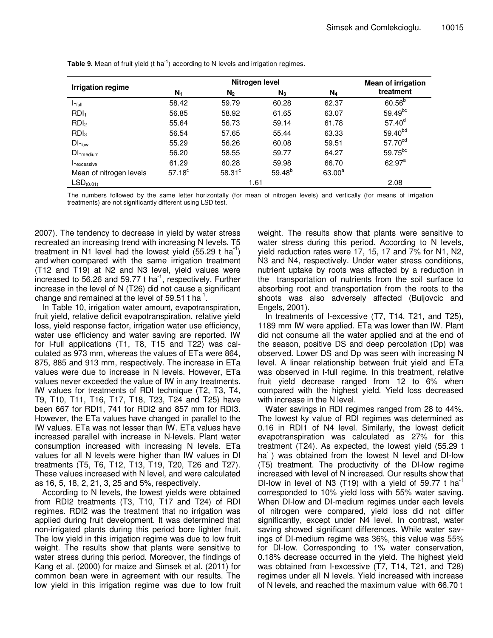|                          |                    | <b>Mean of irrigation</b> |             |                |                     |
|--------------------------|--------------------|---------------------------|-------------|----------------|---------------------|
| <b>Irrigation regime</b> | $N_1$              | N <sub>2</sub>            | $N_3$       | N <sub>4</sub> | treatment           |
| $I$ -full                | 58.42              | 59.79                     | 60.28       | 62.37          | $60.56^{b}$         |
| RDI <sub>1</sub>         | 56.85              | 58.92                     | 61.65       | 63.07          | $59.49^{bc}$        |
| RDI <sub>2</sub>         | 55.64              | 56.73                     | 59.14       | 61.78          | $57.40^d$           |
| RDI <sub>3</sub>         | 56.54              | 57.65                     | 55.44       | 63.33          | 59.40 <sup>bd</sup> |
| $DI$ -low                | 55.29              | 56.26                     | 60.08       | 59.51          | 57.70 <sup>cd</sup> |
| $DI$ <sub>medium</sub>   | 56.20              | 58.55                     | 59.77       | 64.27          | 59.75 <sup>bc</sup> |
| I-excessive              | 61.29              | 60.28                     | 59.98       | 66.70          | $62.97^a$           |
| Mean of nitrogen levels  | 57.18 <sup>c</sup> | $58.31$ °                 | $59.48^{b}$ | $63.00^a$      |                     |
| LSD <sub>(0.01)</sub>    |                    | 1.61                      |             |                | 2.08                |

**Table 9.** Mean of fruit yield (t ha<sup>-1</sup>) according to N levels and irrigation regimes.

The numbers followed by the same letter horizontally (for mean of nitrogen levels) and vertically (for means of irrigation treatments) are not significantly different using LSD test.

2007). The tendency to decrease in yield by water stress recreated an increasing trend with increasing N levels. T5 treatment in N1 level had the lowest yield  $(55.29 \text{ t} \text{ ha}^{-1})$ and when compared with the same irrigation treatment (T12 and T19) at N2 and N3 level, yield values were increased to 56.26 and 59.77 t ha<sup>-1</sup>, respectively. Further increase in the level of N (T26) did not cause a significant change and remained at the level of 59.51 t ha<sup>-1</sup>.

In Table 10, irrigation water amount, evapotranspiration, fruit yield, relative deficit evapotranspiration, relative yield loss, yield response factor, irrigation water use efficiency, water use efficiency and water saving are reported. IW for I-full applications (T1, T8, T15 and T22) was calculated as 973 mm, whereas the values of ETa were 864, 875, 885 and 913 mm, respectively. The increase in ETa values were due to increase in N levels. However, ETa values never exceeded the value of IW in any treatments. IW values for treatments of RDI technique (T2, T3, T4, T9, T10, T11, T16, T17, T18, T23, T24 and T25) have been 667 for RDI1, 741 for RDI2 and 857 mm for RDI3. However, the ETa values have changed in parallel to the IW values. ETa was not lesser than IW. ETa values have increased parallel with increase in N-levels. Plant water consumption increased with increasing N levels. ETa values for all N levels were higher than IW values in DI treatments (T5, T6, T12, T13, T19, T20, T26 and T27). These values increased with N level, and were calculated as 16, 5, 18, 2, 21, 3, 25 and 5%, respectively.

According to N levels, the lowest yields were obtained from RDI2 treatments (T3, T10, T17 and T24) of RDI regimes. RDI2 was the treatment that no irrigation was applied during fruit development. It was determined that non-irrigated plants during this period bore lighter fruit. The low yield in this irrigation regime was due to low fruit weight. The results show that plants were sensitive to water stress during this period. Moreover, the findings of Kang et al. (2000) for maize and Simsek et al. (2011) for common bean were in agreement with our results. The low yield in this irrigation regime was due to low fruit

weight. The results show that plants were sensitive to water stress during this period. According to N levels, yield reduction rates were 17, 15, 17 and 7% for N1, N2, N3 and N4, respectively. Under water stress conditions, nutrient uptake by roots was affected by a reduction in the transportation of nutrients from the soil surface to absorbing root and transportation from the roots to the shoots was also adversely affected (Buljovcic and Engels, 2001).

In treatments of I-excessive (T7, T14, T21, and T25), 1189 mm IW were applied. ETa was lower than IW. Plant did not consume all the water applied and at the end of the season, positive DS and deep percolation (Dp) was observed. Lower DS and Dp was seen with increasing N level. A linear relationship between fruit yield and ETa was observed in I-full regime. In this treatment, relative fruit yield decrease ranged from 12 to 6% when compared with the highest yield. Yield loss decreased with increase in the N level.

Water savings in RDI regimes ranged from 28 to 44%. The lowest ky value of RDI regimes was determined as 0.16 in RDI1 of N4 level. Similarly, the lowest deficit evapotranspiration was calculated as 27% for this treatment (T24). As expected, the lowest yield (55.29 t  $ha^{-1}$ ) was obtained from the lowest N level and DI-low (T5) treatment. The productivity of the DI-low regime increased with level of N increased. Our results show that DI-low in level of N3 (T19) with a yield of 59.77 t ha<sup>-1</sup> corresponded to 10% yield loss with 55% water saving. When DI-low and DI-medium regimes under each levels of nitrogen were compared, yield loss did not differ significantly, except under N4 level. In contrast, water saving showed significant differences. While water savings of DI-medium regime was 36%, this value was 55% for DI-low. Corresponding to 1% water conservation, 0.18% decrease occurred in the yield. The highest yield was obtained from I-excessive (T7, T14, T21, and T28) regimes under all N levels. Yield increased with increase of N levels, and reached the maximum value with 66.70 t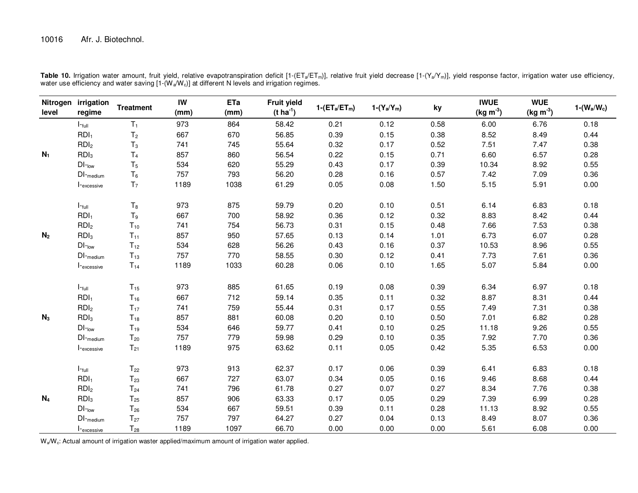## 10016 Afr. J. Biotechnol.

| level          | Nitrogen irrigation<br>regime                | <b>Treatment</b> | IW<br>(mm) | ETa<br>(mm) | <b>Fruit yield</b><br>$(t \, ha^{-1})$ | $1-(ET_a/ET_m)$ | $1-(Y_a/Y_m)$ | ky   | <b>IWUE</b><br>$(kg m-3)$ | <b>WUE</b><br>$(kg m-3)$ | $1-(W_a/W_c)$ |
|----------------|----------------------------------------------|------------------|------------|-------------|----------------------------------------|-----------------|---------------|------|---------------------------|--------------------------|---------------|
|                | $I$ - $_{full}$                              | $T_1$            | 973        | 864         | 58.42                                  | 0.21            | 0.12          | 0.58 | 6.00                      | 6.76                     | 0.18          |
|                | RDI <sub>1</sub>                             | T <sub>2</sub>   | 667        | 670         | 56.85                                  | 0.39            | 0.15          | 0.38 | 8.52                      | 8.49                     | 0.44          |
|                | RDI <sub>2</sub>                             | $T_3$            | 741        | 745         | 55.64                                  | 0.32            | 0.17          | 0.52 | 7.51                      | 7.47                     | 0.38          |
| $N_1$          | RDI <sub>3</sub>                             | T <sub>4</sub>   | 857        | 860         | 56.54                                  | 0.22            | 0.15          | 0.71 | 6.60                      | 6.57                     | 0.28          |
|                | $DI$ -low                                    | T <sub>5</sub>   | 534        | 620         | 55.29                                  | 0.43            | 0.17          | 0.39 | 10.34                     | 8.92                     | 0.55          |
|                | $DI$ -medium                                 | $\mathsf{T}_6$   | 757        | 793         | 56.20                                  | 0.28            | 0.16          | 0.57 | 7.42                      | 7.09                     | 0.36          |
|                | I-excessive                                  | T <sub>7</sub>   | 1189       | 1038        | 61.29                                  | 0.05            | 0.08          | 1.50 | 5.15                      | 5.91                     | 0.00          |
|                | $I$ - $_{full}$                              | $\mathsf{T}_8$   | 973        | 875         | 59.79                                  | 0.20            | 0.10          | 0.51 | 6.14                      | 6.83                     | 0.18          |
|                | RDI <sub>1</sub>                             | $\mathsf{T}_9$   | 667        | 700         | 58.92                                  | 0.36            | 0.12          | 0.32 | 8.83                      | 8.42                     | 0.44          |
|                | RDI <sub>2</sub>                             | $T_{10}$         | 741        | 754         | 56.73                                  | 0.31            | 0.15          | 0.48 | 7.66                      | 7.53                     | 0.38          |
| N <sub>2</sub> | RDI <sub>3</sub>                             | $T_{11}$         | 857        | 950         | 57.65                                  | 0.13            | 0.14          | 1.01 | 6.73                      | 6.07                     | 0.28          |
|                | $DI$ -low                                    | $T_{12}$         | 534        | 628         | 56.26                                  | 0.43            | 0.16          | 0.37 | 10.53                     | 8.96                     | 0.55          |
|                | $\mathsf{DI}_{\mathsf{\neg}\mathsf{medium}}$ | $T_{13}$         | 757        | 770         | 58.55                                  | 0.30            | 0.12          | 0.41 | 7.73                      | 7.61                     | 0.36          |
|                | I-excessive                                  | $T_{14}$         | 1189       | 1033        | 60.28                                  | 0.06            | 0.10          | 1.65 | 5.07                      | 5.84                     | 0.00          |
|                | $I$ - $_{full}$                              | $T_{15}$         | 973        | 885         | 61.65                                  | 0.19            | 0.08          | 0.39 | 6.34                      | 6.97                     | 0.18          |
|                | RDI <sub>1</sub>                             | $T_{16}$         | 667        | 712         | 59.14                                  | 0.35            | 0.11          | 0.32 | 8.87                      | 8.31                     | 0.44          |
|                | RDI <sub>2</sub>                             | $T_{17}$         | 741        | 759         | 55.44                                  | 0.31            | 0.17          | 0.55 | 7.49                      | 7.31                     | 0.38          |
| $N_3$          | RDI <sub>3</sub>                             | $T_{18}$         | 857        | 881         | 60.08                                  | 0.20            | 0.10          | 0.50 | 7.01                      | 6.82                     | 0.28          |
|                | $DI$ - $_{low}$                              | $T_{19}$         | 534        | 646         | 59.77                                  | 0.41            | 0.10          | 0.25 | 11.18                     | 9.26                     | 0.55          |
|                | $DI$ –medium                                 | $T_{20}$         | 757        | 779         | 59.98                                  | 0.29            | 0.10          | 0.35 | 7.92                      | 7.70                     | 0.36          |
|                | I-excessive                                  | $T_{21}$         | 1189       | 975         | 63.62                                  | 0.11            | 0.05          | 0.42 | 5.35                      | 6.53                     | 0.00          |
|                | $I$ - $_{full}$                              | $T_{22}$         | 973        | 913         | 62.37                                  | 0.17            | 0.06          | 0.39 | 6.41                      | 6.83                     | 0.18          |
|                | RDI <sub>1</sub>                             | $T_{23}$         | 667        | 727         | 63.07                                  | 0.34            | 0.05          | 0.16 | 9.46                      | 8.68                     | 0.44          |
|                | RDI <sub>2</sub>                             | $T_{24}$         | 741        | 796         | 61.78                                  | 0.27            | 0.07          | 0.27 | 8.34                      | 7.76                     | 0.38          |
| $N_4$          | RDI <sub>3</sub>                             | $T_{25}$         | 857        | 906         | 63.33                                  | 0.17            | 0.05          | 0.29 | 7.39                      | 6.99                     | 0.28          |
|                | $DI$ -low                                    | $T_{26}$         | 534        | 667         | 59.51                                  | 0.39            | 0.11          | 0.28 | 11.13                     | 8.92                     | 0.55          |
|                | $\mathsf{DI}_{\mathsf{\neg}\mathsf{medium}}$ | $T_{27}$         | 757        | 797         | 64.27                                  | 0.27            | 0.04          | 0.13 | 8.49                      | 8.07                     | 0.36          |
|                | I- <sub>excessive</sub>                      | $T_{28}$         | 1189       | 1097        | 66.70                                  | 0.00            | 0.00          | 0.00 | 5.61                      | 6.08                     | 0.00          |

**Table 10.** Irrigation water amount, fruit yield, relative evapotranspiration deficit [1-(ETa/ETm)], relative fruit yield decrease [1-(Ya/Ym)], yield response factor, irrigation water use efficiency,<br>water use efficiency a

W<sub>a</sub>/W<sub>c</sub>: Actual amount of irrigation waster applied/maximum amount of irrigation water applied.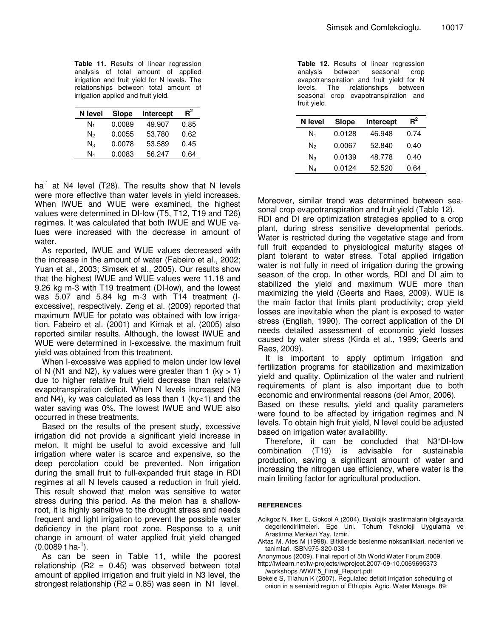**Table 11.** Results of linear regression analysis of total amount of applied irrigation and fruit yield for N levels. The relationships between total amount of irrigation applied and fruit yield.

| N level<br><b>Slope</b> |        | Intercept | $R^2$ |
|-------------------------|--------|-----------|-------|
| N1                      | 0.0089 | 49.907    | 0.85  |
| N۶                      | 0.0055 | 53.780    | 0.62  |
| $N_{3}$                 | 0.0078 | 53.589    | 0.45  |
| N4                      | 0.0083 | 56.247    | 0.64  |

ha<sup>-1</sup> at N4 level (T28). The results show that N levels were more effective than water levels in yield increases. When IWUE and WUE were examined, the highest values were determined in DI-low (T5, T12, T19 and T26) regimes. It was calculated that both IWUE and WUE values were increased with the decrease in amount of water.

As reported, IWUE and WUE values decreased with the increase in the amount of water (Fabeiro et al., 2002; Yuan et al., 2003; Simsek et al., 2005). Our results show that the highest IWUE and WUE values were 11.18 and 9.26 kg m-3 with T19 treatment (DI-low), and the lowest was 5.07 and 5.84 kg m-3 with T14 treatment (Iexcessive), respectively. Zeng et al. (2009) reported that maximum IWUE for potato was obtained with low irrigation. Fabeiro et al. (2001) and Kirnak et al. (2005) also reported similar results. Although, the lowest IWUE and WUE were determined in I-excessive, the maximum fruit yield was obtained from this treatment.

When I-excessive was applied to melon under low level of N (N1 and N2), ky values were greater than 1 (ky  $> 1$ ) due to higher relative fruit yield decrease than relative evapotranspiration deficit. When N levels increased (N3 and N4), ky was calculated as less than 1 (ky $<$ 1) and the water saving was 0%. The lowest IWUE and WUE also occurred in these treatments.

Based on the results of the present study, excessive irrigation did not provide a significant yield increase in melon. It might be useful to avoid excessive and full irrigation where water is scarce and expensive, so the deep percolation could be prevented. Non irrigation during the small fruit to full-expanded fruit stage in RDI regimes at all N levels caused a reduction in fruit yield. This result showed that melon was sensitive to water stress during this period. As the melon has a shallowroot, it is highly sensitive to the drought stress and needs frequent and light irrigation to prevent the possible water deficiency in the plant root zone. Response to a unit change in amount of water applied fruit yield changed  $(0.0089 t \text{ ha}^{-1}).$ 

As can be seen in Table 11, while the poorest relationship  $(R2 = 0.45)$  was observed between total amount of applied irrigation and fruit yield in N3 level, the strongest relationship  $(R2 = 0.85)$  was seen in N1 level.

**Table 12.** Results of linear regression analysis between seasonal crop evapotranspiration and fruit yield for N levels. The relationships between seasonal crop evapotranspiration and fruit yield.

| N level | Slope  | Intercept | $R^2$ |
|---------|--------|-----------|-------|
| N1      | 0.0128 | 46.948    | 0.74  |
| N۶      | 0.0067 | 52.840    | 0.40  |
| Nз      | 0.0139 | 48.778    | 0.40  |
| N4      | 0.0124 | 52.520    | 0.64  |

Moreover, similar trend was determined between seasonal crop evapotranspiration and fruit yield (Table 12).

RDI and DI are optimization strategies applied to a crop plant, during stress sensitive developmental periods. Water is restricted during the vegetative stage and from full fruit expanded to physiological maturity stages of plant tolerant to water stress. Total applied irrigation water is not fully in need of irrigation during the growing season of the crop. In other words, RDI and DI aim to stabilized the yield and maximum WUE more than maximizing the yield (Geerts and Raes, 2009). WUE is the main factor that limits plant productivity; crop yield losses are inevitable when the plant is exposed to water stress (English, 1990). The correct application of the DI needs detailed assessment of economic yield losses caused by water stress (Kirda et al., 1999; Geerts and Raes, 2009).

It is important to apply optimum irrigation and fertilization programs for stabilization and maximization yield and quality. Optimization of the water and nutrient requirements of plant is also important due to both economic and environmental reasons (del Amor, 2006).

Based on these results, yield and quality parameters were found to be affected by irrigation regimes and N levels. To obtain high fruit yield, N level could be adjusted based on irrigation water availability.

Therefore, it can be concluded that N3\*DI-low combination (T19) is advisable for sustainable production, saving a significant amount of water and increasing the nitrogen use efficiency, where water is the main limiting factor for agricultural production.

### **REFERENCES**

- Acikgoz N, Ilker E, Gokcol A (2004). Biyolojik arastirmalarin bilgisayarda degerlendirilmeleri. Ege Uni. Tohum Teknoloji Uygulama ve Arastirma Merkezi Yay, Izmir.
- Aktas M, Ates M (1998). Bitkilerde beslenme noksanliklari. nedenleri ve tanimlari. ISBN975-320-033-1

Anonymous (2009). Final report of 5th World Water Forum 2009.

http://iwlearn.net/iw-projects/iwproject.2007-09-10.0069695373 /workshops /WWF5\_Final\_Report.pdf

Bekele S, Tilahun K (2007). Regulated deficit irrigation scheduling of onion in a semiarid region of Ethiopia. Agric. Water Manage. 89: